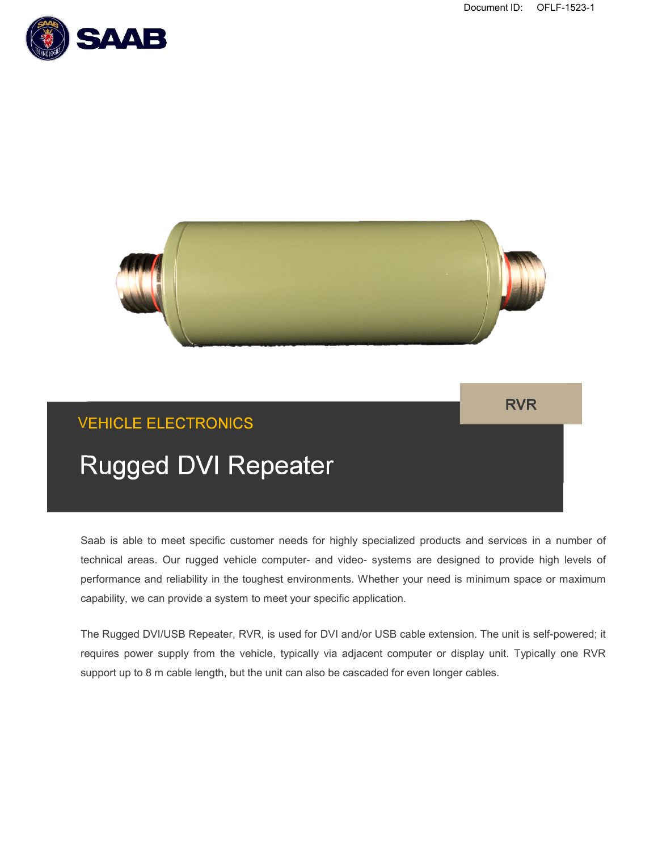



Saab is able to meet specific customer needs for highly specialized products and services in a number of technical areas. Our rugged vehicle computer- and video- systems are designed to provide high levels of performance and reliability in the toughest environments. Whether your need is minimum space or maximum capability, we can provide a system to meet your specific application.

The Rugged DVI/USB Repeater, RVR, is used for DVI and/or USB cable extension. The unit is self-powered; it requires power supply from the vehicle, typically via adjacent computer or display unit. Typically one RVR support up to 8 m cable length, but the unit can also be cascaded for even longer cables.